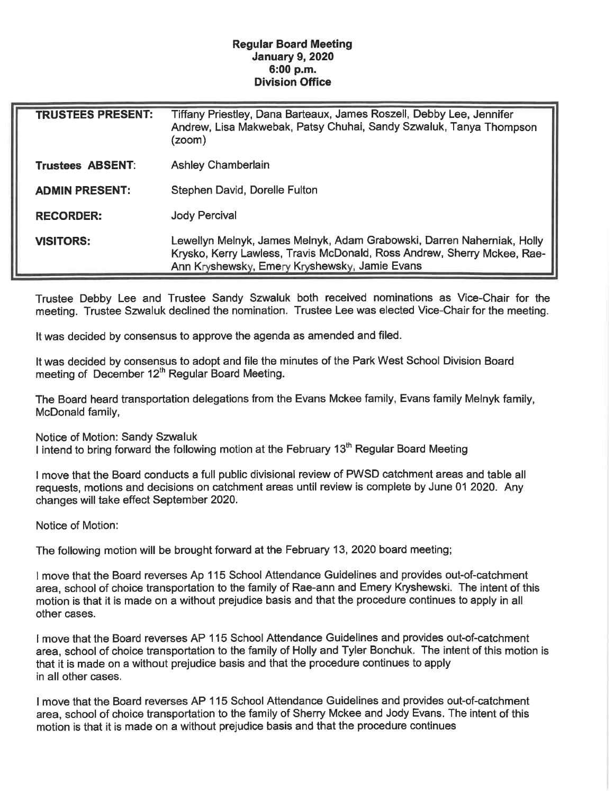## Regular Board Meeting January 9, 2020 6:00 p. m. Division Office

| <b>TRUSTEES PRESENT:</b> | Tiffany Priestley, Dana Barteaux, James Roszell, Debby Lee, Jennifer<br>Andrew, Lisa Makwebak, Patsy Chuhai, Sandy Szwaluk, Tanya Thompson<br>(zoom)                                               |
|--------------------------|----------------------------------------------------------------------------------------------------------------------------------------------------------------------------------------------------|
| Trustees ABSENT:         | <b>Ashley Chamberlain</b>                                                                                                                                                                          |
| <b>ADMIN PRESENT:</b>    | Stephen David, Dorelle Fulton                                                                                                                                                                      |
| <b>RECORDER:</b>         | <b>Jody Percival</b>                                                                                                                                                                               |
| <b>VISITORS:</b>         | Lewellyn Melnyk, James Melnyk, Adam Grabowski, Darren Naherniak, Holly<br>Krysko, Kerry Lawless, Travis McDonald, Ross Andrew, Sherry Mckee, Rae-<br>Ann Kryshewsky, Emery Kryshewsky, Jamie Evans |

Trustee Debby Lee and Trustee Sandy Szwaluk both received nominations as Vice-Chair for the meeting. Trustee Szwaluk declined the nomination. Trustee Lee was elected Vice-Chair for the meeting.

It was decided by consensus to approve the agenda as amended and filed.

It was decided by consensus to adopt and file the minutes of the Park West School Division Board meeting of December 12<sup>th</sup> Regular Board Meeting.

The Board heard transportation delegations from the Evans Mckee family, Evans family Melnyk family, McDonald family,

Notice of Motion: Sandy Szwaluk

I intend to bring forward the following motion at the February 13<sup>th</sup> Regular Board Meeting

I move that the Board conducts a full public divisional review of PWSD catchment areas and table all requests, motions and decisions on catchment areas until review is complete by June 01 2020. Any changes will take effect September 2020.

Notice of Motion:

The following motion will be brought forward at the February 13, 2020 board meeting;

1 move that the Board reverses Ap 115 School Attendance Guidelines and provides out-of-catchment area, school of choice transportation to the family of Rae-ann and Emery Kryshewski. The intent of this motion is that it is made on a without prejudice basis and that the procedure continues to apply in all other cases.

I move that the Board reverses AP 115 School Attendance Guidelines and provides out-of-catchment area, school of choice transportation to the family of Holly and Tyler Bonchuk. The intent of this motion is that it is made on a without prejudice basis and that the procedure continues to apply in all other cases.

I move that the Board reverses AP 115 School Attendance Guidelines and provides out-of-catchment area, school of choice transportation to the family of Sherry Mckee and Jody Evans. The intent of this motion is that it is made on a without prejudice basis and that the procedure continues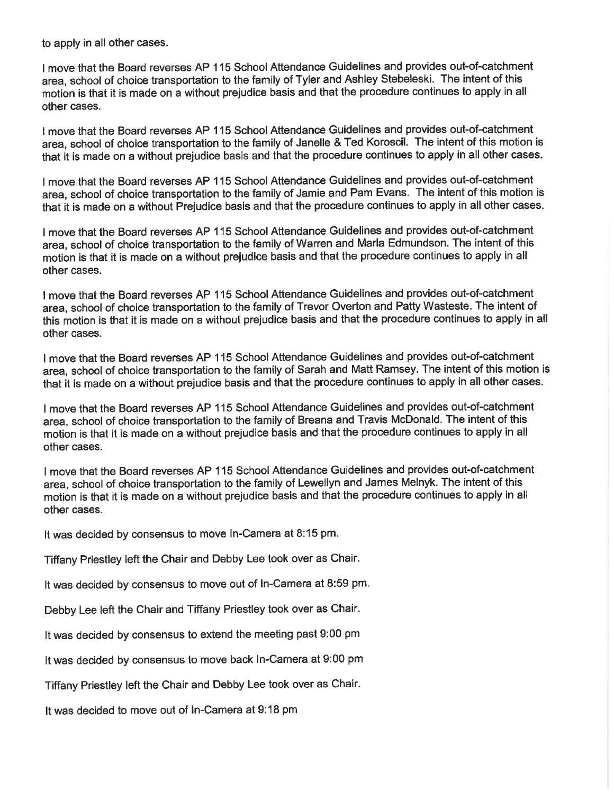to apply in all other cases.

I move that the Board reverses AP 115 School Attendance Guidelines and provides out-of-catchment area, school of choice transportation to the family of Tyler and Ashley Stebeleski. The intent of this motion is that it is made on a without prejudice basis and that the procedure continues to apply in all other cases.

I move that the Board reverses AP 115 School Attendance Guidelines and provides out-of-catchment area, school of choice transportation to the family of Janelle & Ted Koroscil. The intent of this motion is that it is made on a without prejudice basis and that the procedure continues to apply in all other cases.

I move that the Board reverses AP 115 School Attendance Guidelines and provides out-of-catchment area, school of choice transportation to the family of Jamie and Pam Evans. The intent of this motion is that it is made on a without Prejudice basis and that the procedure continues to apply in all other cases.

I move that the Board reverses AP 115 School Attendance Guidelines and provides out-of-catchment area, school of choice transportation to the family of Warren and Maria Edmundson. The intent of this motion is that it is made on a without prejudice basis and that the procedure continues to apply in all other cases.

I move that the Board reverses AP 115 School Attendance Guidelines and provides out-of-catchment area, school of choice transportation to the family of Trevor Overton and Patty Wasteste. The intent of this motion is that it is made on a without prejudice basis and that the procedure continues to apply in all other cases.

I move that the Board reverses AP 115 School Attendance Guidelines and provides out-of-catchment area, school of choice transportation to the family of Sarah and Matt Ramsey. The intent of this motion is that it is made on a without prejudice basis and that the procedure continues to apply in all other cases.

I move that the Board reverses AP 115 School Attendance Guidelines and provides out-of-catchment area, school of choice transportation to the family of Breana and Travis McDonald. The intent of this motion is that it is made on a without prejudice basis and that the procedure continues to apply in all other cases.

I move that the Board reverses AP 115 School Attendance Guidelines and provides out-of-catchment area, school of choice transportation to the family of Lewellyn and James Melnyk. The intent of this motion is that it is made on a without prejudice basis and that the procedure continues to apply in all other cases.

It was decided by consensus to move In-Camera at 8:15 pm.

Tiffany Priestley left the Chair and Debby Lee took over as Chair.

It was decided by consensus to move out of In-Camera at 8:59 pm.

Debby Lee left the Chair and Tiffany Priestley took over as Chair.

It was decided by consensus to extend the meeting past 9:00 pm

It was decided by consensus to move back In-Camera at 9:00 pm

Tiffany Priestley left the Chair and Debby Lee took over as Chair.

It was decided to move out of In-Camera at 9:18 pm